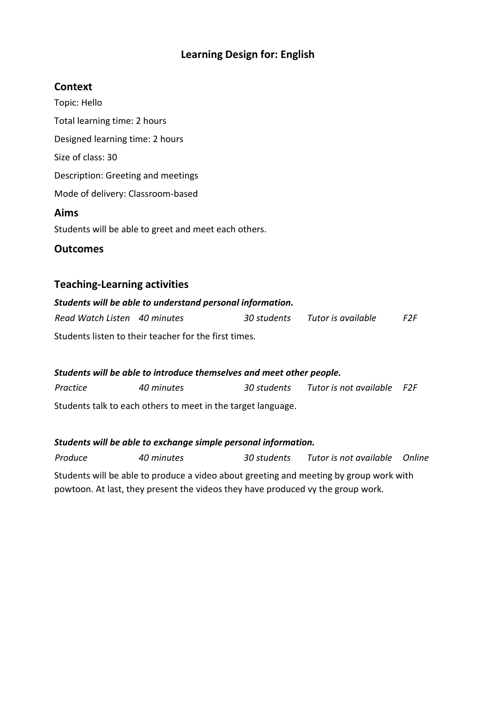# **Learning Design for: English**

## **Context**

Topic: Hello Total learning time: 2 hours Designed learning time: 2 hours Size of class: 30 Description: Greeting and meetings Mode of delivery: Classroom-based **Aims** Students will be able to greet and meet each others.

**Outcomes**

## **Teaching-Learning activities**

# *Students will be able to understand personal information. Read Watch Listen 40 minutes 30 students Tutor is available F2F* Students listen to their teacher for the first times.

# *Students will be able to introduce themselves and meet other people.*

*Practice 40 minutes 30 students Tutor is not available F2F* Students talk to each others to meet in the target language.

#### *Students will be able to exchange simple personal information.*

*Produce 40 minutes 30 students Tutor is not available Online* Students will be able to produce a video about greeting and meeting by group work with powtoon. At last, they present the videos they have produced vy the group work.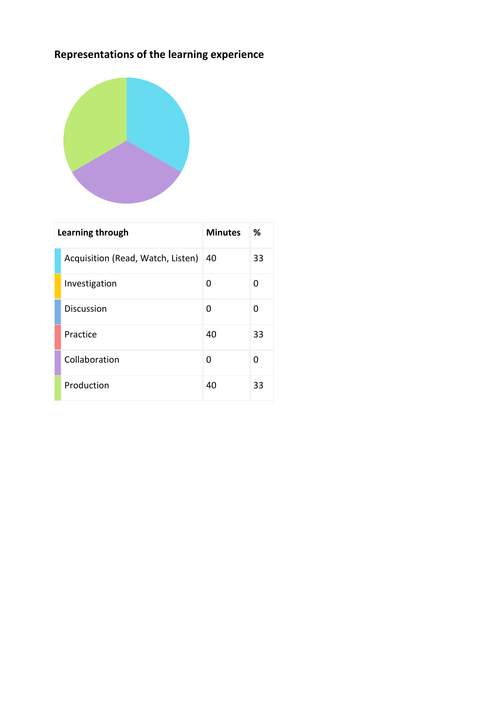# **Representations of the learning experience**



| Learning through |                                   | <b>Minutes</b> | %  |
|------------------|-----------------------------------|----------------|----|
|                  | Acquisition (Read, Watch, Listen) | 40             | 33 |
|                  | Investigation                     | ი              | 0  |
|                  | <b>Discussion</b>                 | O              | O  |
|                  | Practice                          | 40             | 33 |
|                  | Collaboration                     | O              | 0  |
|                  | Production                        | 40             | 33 |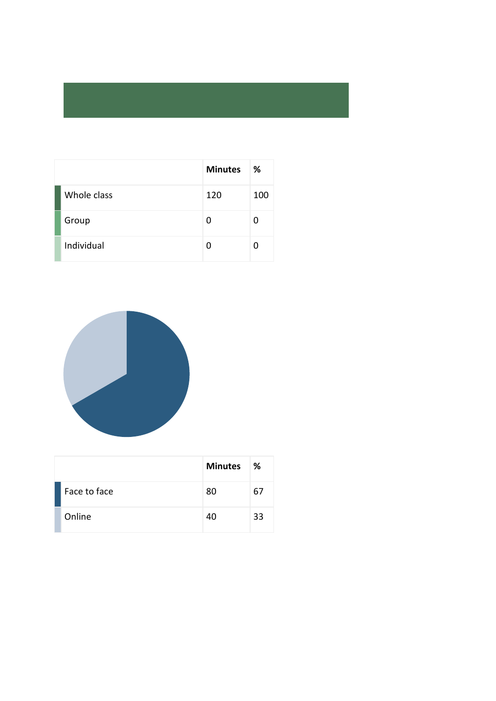|             | <b>Minutes</b> | ℅   |
|-------------|----------------|-----|
| Whole class | 120            | 100 |
| Group       | 0              | n   |
| Individual  | U              |     |



|              | <b>Minutes</b> | ℅  |
|--------------|----------------|----|
| Face to face | 80             | 67 |
| Online       | 40             | 33 |